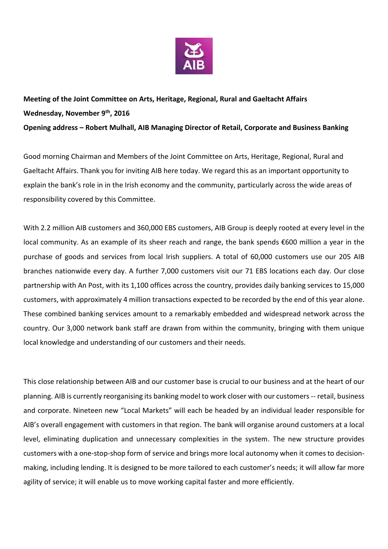

## **Meeting of the Joint Committee on Arts, Heritage, Regional, Rural and Gaeltacht Affairs Wednesday, November 9th, 2016 Opening address – Robert Mulhall, AIB Managing Director of Retail, Corporate and Business Banking**

Good morning Chairman and Members of the Joint Committee on Arts, Heritage, Regional, Rural and Gaeltacht Affairs. Thank you for inviting AIB here today. We regard this as an important opportunity to explain the bank's role in in the Irish economy and the community, particularly across the wide areas of responsibility covered by this Committee.

With 2.2 million AIB customers and 360,000 EBS customers, AIB Group is deeply rooted at every level in the local community. As an example of its sheer reach and range, the bank spends €600 million a year in the purchase of goods and services from local Irish suppliers. A total of 60,000 customers use our 205 AIB branches nationwide every day. A further 7,000 customers visit our 71 EBS locations each day. Our close partnership with An Post, with its 1,100 offices across the country, provides daily banking services to 15,000 customers, with approximately 4 million transactions expected to be recorded by the end of this year alone. These combined banking services amount to a remarkably embedded and widespread network across the country. Our 3,000 network bank staff are drawn from within the community, bringing with them unique local knowledge and understanding of our customers and their needs.

This close relationship between AIB and our customer base is crucial to our business and at the heart of our planning. AIB is currently reorganising its banking model to work closer with our customers -- retail, business and corporate. Nineteen new "Local Markets" will each be headed by an individual leader responsible for AIB's overall engagement with customers in that region. The bank will organise around customers at a local level, eliminating duplication and unnecessary complexities in the system. The new structure provides customers with a one-stop-shop form of service and brings more local autonomy when it comes to decisionmaking, including lending. It is designed to be more tailored to each customer's needs; it will allow far more agility of service; it will enable us to move working capital faster and more efficiently.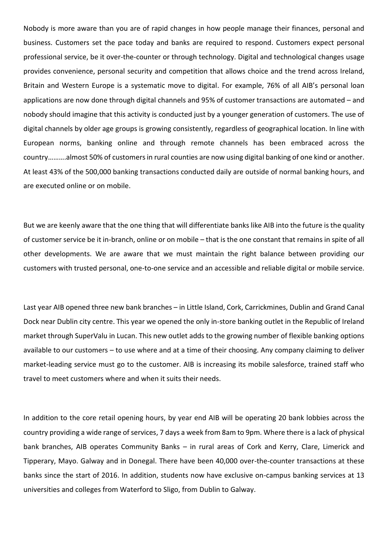Nobody is more aware than you are of rapid changes in how people manage their finances, personal and business. Customers set the pace today and banks are required to respond. Customers expect personal professional service, be it over-the-counter or through technology. Digital and technological changes usage provides convenience, personal security and competition that allows choice and the trend across Ireland, Britain and Western Europe is a systematic move to digital. For example, 76% of all AIB's personal loan applications are now done through digital channels and 95% of customer transactions are automated – and nobody should imagine that this activity is conducted just by a younger generation of customers. The use of digital channels by older age groups is growing consistently, regardless of geographical location. In line with European norms, banking online and through remote channels has been embraced across the country……….almost 50% of customers in rural counties are now using digital banking of one kind or another. At least 43% of the 500,000 banking transactions conducted daily are outside of normal banking hours, and are executed online or on mobile.

But we are keenly aware that the one thing that will differentiate banks like AIB into the future is the quality of customer service be it in-branch, online or on mobile – that is the one constant that remains in spite of all other developments. We are aware that we must maintain the right balance between providing our customers with trusted personal, one-to-one service and an accessible and reliable digital or mobile service.

Last year AIB opened three new bank branches – in Little Island, Cork, Carrickmines, Dublin and Grand Canal Dock near Dublin city centre. This year we opened the only in-store banking outlet in the Republic of Ireland market through SuperValu in Lucan. This new outlet adds to the growing number of flexible banking options available to our customers – to use where and at a time of their choosing. Any company claiming to deliver market-leading service must go to the customer. AIB is increasing its mobile salesforce, trained staff who travel to meet customers where and when it suits their needs.

In addition to the core retail opening hours, by year end AIB will be operating 20 bank lobbies across the country providing a wide range of services, 7 days a week from 8am to 9pm. Where there is a lack of physical bank branches, AIB operates Community Banks – in rural areas of Cork and Kerry, Clare, Limerick and Tipperary, Mayo. Galway and in Donegal. There have been 40,000 over-the-counter transactions at these banks since the start of 2016. In addition, students now have exclusive on-campus banking services at 13 universities and colleges from Waterford to Sligo, from Dublin to Galway.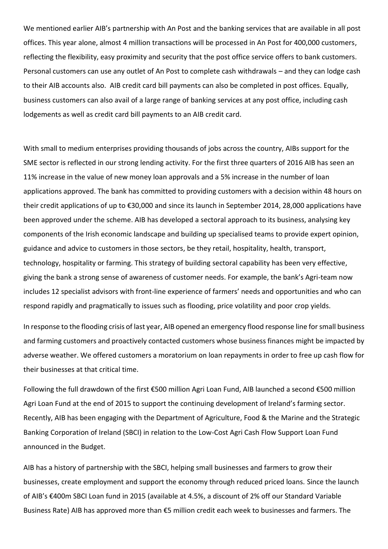We mentioned earlier AIB's partnership with An Post and the banking services that are available in all post offices. This year alone, almost 4 million transactions will be processed in An Post for 400,000 customers, reflecting the flexibility, easy proximity and security that the post office service offers to bank customers. Personal customers can use any outlet of An Post to complete cash withdrawals – and they can lodge cash to their AIB accounts also. AIB credit card bill payments can also be completed in post offices. Equally, business customers can also avail of a large range of banking services at any post office, including cash lodgements as well as credit card bill payments to an AIB credit card.

With small to medium enterprises providing thousands of jobs across the country, AIBs support for the SME sector is reflected in our strong lending activity. For the first three quarters of 2016 AIB has seen an 11% increase in the value of new money loan approvals and a 5% increase in the number of loan applications approved. The bank has committed to providing customers with a decision within 48 hours on their credit applications of up to €30,000 and since its launch in September 2014, 28,000 applications have been approved under the scheme. AIB has developed a sectoral approach to its business, analysing key components of the Irish economic landscape and building up specialised teams to provide expert opinion, guidance and advice to customers in those sectors, be they retail, hospitality, health, transport, technology, hospitality or farming. This strategy of building sectoral capability has been very effective, giving the bank a strong sense of awareness of customer needs. For example, the bank's Agri-team now includes 12 specialist advisors with front-line experience of farmers' needs and opportunities and who can respond rapidly and pragmatically to issues such as flooding, price volatility and poor crop yields.

In response to the flooding crisis of last year, AIB opened an emergency flood response line for small business and farming customers and proactively contacted customers whose business finances might be impacted by adverse weather. We offered customers a moratorium on loan repayments in order to free up cash flow for their businesses at that critical time.

Following the full drawdown of the first €500 million Agri Loan Fund, AIB launched a second €500 million Agri Loan Fund at the end of 2015 to support the continuing development of Ireland's farming sector. Recently, AIB has been engaging with the Department of Agriculture, Food & the Marine and the Strategic Banking Corporation of Ireland (SBCI) in relation to the Low-Cost Agri Cash Flow Support Loan Fund announced in the Budget.

AIB has a history of partnership with the SBCI, helping small businesses and farmers to grow their businesses, create employment and support the economy through reduced priced loans. Since the launch of AIB's €400m SBCI Loan fund in 2015 (available at 4.5%, a discount of 2% off our Standard Variable Business Rate) AIB has approved more than €5 million credit each week to businesses and farmers. The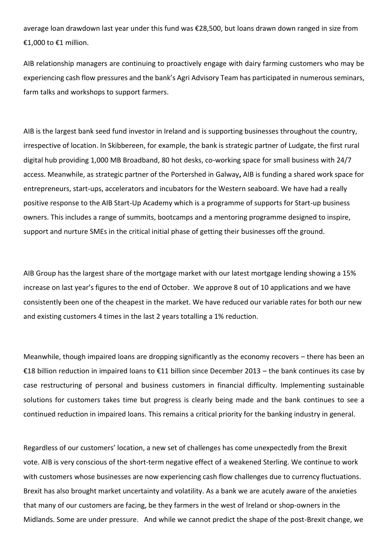average loan drawdown last year under this fund was €28,500, but loans drawn down ranged in size from €1,000 to €1 million.

AIB relationship managers are continuing to proactively engage with dairy farming customers who may be experiencing cash flow pressures and the bank's Agri Advisory Team has participated in numerous seminars, farm talks and workshops to support farmers.

AIB is the largest bank seed fund investor in Ireland and is supporting businesses throughout the country, irrespective of location. In Skibbereen, for example, the bank is strategic partner of Ludgate, the first rural digital hub providing 1,000 MB Broadband, 80 hot desks, co-working space for small business with 24/7 access. Meanwhile, as strategic partner of the Portershed in Galway**,** AIB is funding a shared work space for entrepreneurs, start-ups, accelerators and incubators for the Western seaboard. We have had a really positive response to the AIB Start-Up Academy which is a programme of supports for Start-up business owners. This includes a range of summits, bootcamps and a mentoring programme designed to inspire, support and nurture SMEs in the critical initial phase of getting their businesses off the ground.

AIB Group has the largest share of the mortgage market with our latest mortgage lending showing a 15% increase on last year's figures to the end of October. We approve 8 out of 10 applications and we have consistently been one of the cheapest in the market. We have reduced our variable rates for both our new and existing customers 4 times in the last 2 years totalling a 1% reduction.

Meanwhile, though impaired loans are dropping significantly as the economy recovers – there has been an €18 billion reduction in impaired loans to €11 billion since December 2013 – the bank continues its case by case restructuring of personal and business customers in financial difficulty. Implementing sustainable solutions for customers takes time but progress is clearly being made and the bank continues to see a continued reduction in impaired loans. This remains a critical priority for the banking industry in general.

Regardless of our customers' location, a new set of challenges has come unexpectedly from the Brexit vote. AIB is very conscious of the short-term negative effect of a weakened Sterling. We continue to work with customers whose businesses are now experiencing cash flow challenges due to currency fluctuations. Brexit has also brought market uncertainty and volatility. As a bank we are acutely aware of the anxieties that many of our customers are facing, be they farmers in the west of Ireland or shop-owners in the Midlands. Some are under pressure. And while we cannot predict the shape of the post-Brexit change, we